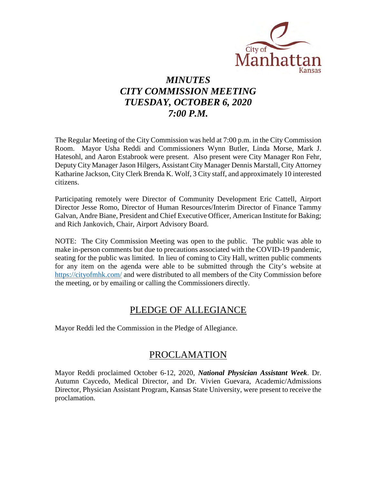

# *MINUTES CITY COMMISSION MEETING TUESDAY, OCTOBER 6, 2020 7:00 P.M.*

The Regular Meeting of the City Commission was held at 7:00 p.m. in the City Commission Room. Mayor Usha Reddi and Commissioners Wynn Butler, Linda Morse, Mark J. Hatesohl, and Aaron Estabrook were present. Also present were City Manager Ron Fehr, Deputy City Manager Jason Hilgers, Assistant City Manager Dennis Marstall, City Attorney Katharine Jackson, City Clerk Brenda K. Wolf, 3 City staff, and approximately 10 interested citizens.

Participating remotely were Director of Community Development Eric Cattell, Airport Director Jesse Romo, Director of Human Resources/Interim Director of Finance Tammy Galvan, Andre Biane, President and Chief Executive Officer, American Institute for Baking; and Rich Jankovich, Chair, Airport Advisory Board.

NOTE: The City Commission Meeting was open to the public. The public was able to make in-person comments but due to precautions associated with the COVID-19 pandemic, seating for the public was limited. In lieu of coming to City Hall, written public comments for any item on the agenda were able to be submitted through the City's website at [https://cityofmhk.com/](https://cityofmhk.com/and) and were distributed to all members of the City Commission before the meeting, or by emailing or calling the Commissioners directly.

# PLEDGE OF ALLEGIANCE

Mayor Reddi led the Commission in the Pledge of Allegiance.

# PROCLAMATION

Mayor Reddi proclaimed October 6-12, 2020, *National Physician Assistant Week*. Dr. Autumn Caycedo, Medical Director, and Dr. Vivien Guevara, Academic/Admissions Director, Physician Assistant Program, Kansas State University, were present to receive the proclamation.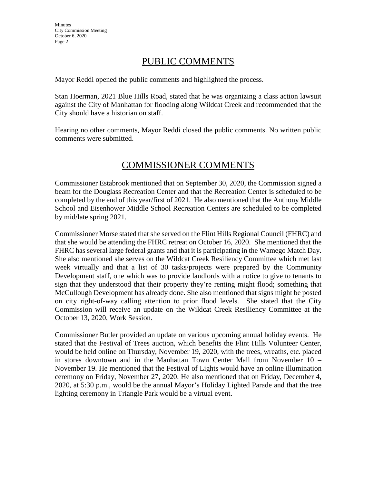# PUBLIC COMMENTS

Mayor Reddi opened the public comments and highlighted the process.

Stan Hoerman, 2021 Blue Hills Road, stated that he was organizing a class action lawsuit against the City of Manhattan for flooding along Wildcat Creek and recommended that the City should have a historian on staff.

Hearing no other comments, Mayor Reddi closed the public comments. No written public comments were submitted.

# COMMISSIONER COMMENTS

Commissioner Estabrook mentioned that on September 30, 2020, the Commission signed a beam for the Douglass Recreation Center and that the Recreation Center is scheduled to be completed by the end of this year/first of 2021. He also mentioned that the Anthony Middle School and Eisenhower Middle School Recreation Centers are scheduled to be completed by mid/late spring 2021.

Commissioner Morse stated that she served on the Flint Hills Regional Council (FHRC) and that she would be attending the FHRC retreat on October 16, 2020. She mentioned that the FHRC has several large federal grants and that it is participating in the Wamego Match Day. She also mentioned she serves on the Wildcat Creek Resiliency Committee which met last week virtually and that a list of 30 tasks/projects were prepared by the Community Development staff, one which was to provide landlords with a notice to give to tenants to sign that they understood that their property they're renting might flood; something that McCullough Development has already done. She also mentioned that signs might be posted on city right-of-way calling attention to prior flood levels. She stated that the City Commission will receive an update on the Wildcat Creek Resiliency Committee at the October 13, 2020, Work Session.

Commissioner Butler provided an update on various upcoming annual holiday events. He stated that the Festival of Trees auction, which benefits the Flint Hills Volunteer Center, would be held online on Thursday, November 19, 2020, with the trees, wreaths, etc. placed in stores downtown and in the Manhattan Town Center Mall from November 10 – November 19. He mentioned that the Festival of Lights would have an online illumination ceremony on Friday, November 27, 2020. He also mentioned that on Friday, December 4, 2020, at 5:30 p.m., would be the annual Mayor's Holiday Lighted Parade and that the tree lighting ceremony in Triangle Park would be a virtual event.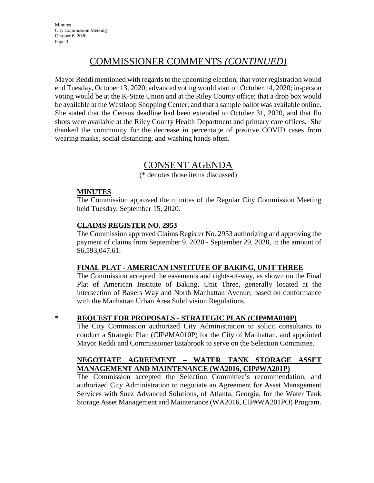**Minutes** City Commission Meeting October 6, 2020 Page 3

# COMMISSIONER COMMENTS *(CONTINUED)*

Mayor Reddi mentioned with regards to the upcoming election, that voter registration would end Tuesday, October 13, 2020; advanced voting would start on October 14, 2020; in-person voting would be at the K-State Union and at the Riley County office; that a drop box would be available at the Westloop Shopping Center; and that a sample ballot was available online. She stated that the Census deadline had been extended to October 31, 2020, and that flu shots were available at the Riley County Health Department and primary care offices. She thanked the community for the decrease in percentage of positive COVID cases from wearing masks, social distancing, and washing hands often.

# CONSENT AGENDA

(\* denotes those items discussed)

### **MINUTES**

The Commission approved the minutes of the Regular City Commission Meeting held Tuesday, September 15, 2020.

# **CLAIMS REGISTER NO. 2953**

The Commission approved Claims Register No. 2953 authorizing and approving the payment of claims from September 9, 2020 - September 29, 2020, in the amount of \$6,593,047.61.

### **FINAL PLAT - AMERICAN INSTITUTE OF BAKING, UNIT THREE**

The Commission accepted the easements and rights-of-way, as shown on the Final Plat of American Institute of Baking, Unit Three, generally located at the intersection of Bakers Way and North Manhattan Avenue, based on conformance with the Manhattan Urban Area Subdivision Regulations.

# **\* REQUEST FOR PROPOSALS - STRATEGIC PLAN (CIP#MA010P)**

The City Commission authorized City Administration to solicit consultants to conduct a Strategic Plan (CIP#MA010P) for the City of Manhattan, and appointed Mayor Reddi and Commissioner Estabrook to serve on the Selection Committee.

# **NEGOTIATE AGREEMENT – WATER TANK STORAGE ASSET MANAGEMENT AND MAINTENANCE (WA2016, CIP#WA201P)**

The Commission accepted the Selection Committee's recommendation, and authorized City Administration to negotiate an Agreement for Asset Management Services with Suez Advanced Solutions, of Atlanta, Georgia, for the Water Tank Storage Asset Management and Maintenance (WA2016, CIP#WA201PO) Program.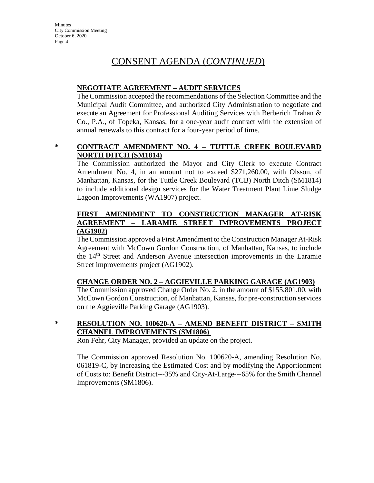**Minutes** City Commission Meeting October 6, 2020 Page 4

# CONSENT AGENDA (*CONTINUED*)

#### **NEGOTIATE AGREEMENT – AUDIT SERVICES**

The Commission accepted the recommendations of the Selection Committee and the Municipal Audit Committee, and authorized City Administration to negotiate and execute an Agreement for Professional Auditing Services with Berberich Trahan & Co., P.A., of Topeka, Kansas, for a one-year audit contract with the extension of annual renewals to this contract for a four-year period of time.

## **\* CONTRACT AMENDMENT NO. 4 – TUTTLE CREEK BOULEVARD NORTH DITCH (SM1814)**

The Commission authorized the Mayor and City Clerk to execute Contract Amendment No. 4, in an amount not to exceed \$271,260.00, with Olsson, of Manhattan, Kansas, for the Tuttle Creek Boulevard (TCB) North Ditch (SM1814) to include additional design services for the Water Treatment Plant Lime Sludge Lagoon Improvements (WA1907) project.

## **FIRST AMENDMENT TO CONSTRUCTION MANAGER AT-RISK AGREEMENT – LARAMIE STREET IMPROVEMENTS PROJECT (AG1902)**

The Commission approved a First Amendment to the Construction Manager At-Risk Agreement with McCown Gordon Construction, of Manhattan, Kansas, to include the 14<sup>th</sup> Street and Anderson Avenue intersection improvements in the Laramie Street improvements project (AG1902).

### **CHANGE ORDER NO. 2 – AGGIEVILLE PARKING GARAGE (AG1903)**

The Commission approved Change Order No. 2, in the amount of \$155,801.00, with McCown Gordon Construction, of Manhattan, Kansas, for pre-construction services on the Aggieville Parking Garage (AG1903).

# **\* RESOLUTION NO. 100620-A – AMEND BENEFIT DISTRICT – SMITH CHANNEL IMPROVEMENTS (SM1806)**

Ron Fehr, City Manager, provided an update on the project.

The Commission approved Resolution No. 100620-A, amending Resolution No. 061819-C, by increasing the Estimated Cost and by modifying the Apportionment of Costs to: Benefit District---35% and City-At-Large---65% for the Smith Channel Improvements (SM1806).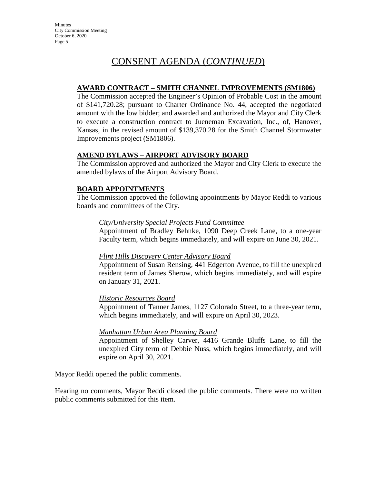# CONSENT AGENDA (*CONTINUED*)

### **AWARD CONTRACT – SMITH CHANNEL IMPROVEMENTS (SM1806)**

The Commission accepted the Engineer's Opinion of Probable Cost in the amount of \$141,720.28; pursuant to Charter Ordinance No. 44, accepted the negotiated amount with the low bidder; and awarded and authorized the Mayor and City Clerk to execute a construction contract to Jueneman Excavation, Inc., of, Hanover, Kansas, in the revised amount of \$139,370.28 for the Smith Channel Stormwater Improvements project (SM1806).

#### **AMEND BYLAWS – AIRPORT ADVISORY BOARD**

The Commission approved and authorized the Mayor and City Clerk to execute the amended bylaws of the Airport Advisory Board.

#### **BOARD APPOINTMENTS**

The Commission approved the following appointments by Mayor Reddi to various boards and committees of the City.

#### *City/University Special Projects Fund Committee*

Appointment of Bradley Behnke, 1090 Deep Creek Lane, to a one-year Faculty term, which begins immediately, and will expire on June 30, 2021.

#### *Flint Hills Discovery Center Advisory Board*

Appointment of Susan Rensing, 441 Edgerton Avenue, to fill the unexpired resident term of James Sherow, which begins immediately, and will expire on January 31, 2021.

#### *Historic Resources Board*

Appointment of Tanner James, 1127 Colorado Street, to a three-year term, which begins immediately, and will expire on April 30, 2023.

#### *Manhattan Urban Area Planning Board*

Appointment of Shelley Carver, 4416 Grande Bluffs Lane, to fill the unexpired City term of Debbie Nuss, which begins immediately, and will expire on April 30, 2021.

Mayor Reddi opened the public comments.

Hearing no comments, Mayor Reddi closed the public comments. There were no written public comments submitted for this item.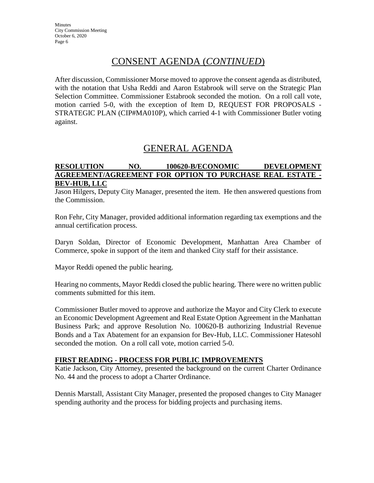# CONSENT AGENDA (*CONTINUED*)

After discussion, Commissioner Morse moved to approve the consent agenda as distributed, with the notation that Usha Reddi and Aaron Estabrook will serve on the Strategic Plan Selection Committee. Commissioner Estabrook seconded the motion. On a roll call vote, motion carried 5-0, with the exception of Item D, REQUEST FOR PROPOSALS - STRATEGIC PLAN (CIP#MA010P), which carried 4-1 with Commissioner Butler voting against.

# GENERAL AGENDA

### **RESOLUTION NO. 100620-B/ECONOMIC DEVELOPMENT AGREEMENT/AGREEMENT FOR OPTION TO PURCHASE REAL ESTATE - BEV-HUB, LLC**

Jason Hilgers, Deputy City Manager, presented the item. He then answered questions from the Commission.

Ron Fehr, City Manager, provided additional information regarding tax exemptions and the annual certification process.

Daryn Soldan, Director of Economic Development, Manhattan Area Chamber of Commerce, spoke in support of the item and thanked City staff for their assistance.

Mayor Reddi opened the public hearing.

Hearing no comments, Mayor Reddi closed the public hearing. There were no written public comments submitted for this item.

Commissioner Butler moved to approve and authorize the Mayor and City Clerk to execute an Economic Development Agreement and Real Estate Option Agreement in the Manhattan Business Park; and approve Resolution No. 100620-B authorizing Industrial Revenue Bonds and a Tax Abatement for an expansion for Bev-Hub, LLC. Commissioner Hatesohl seconded the motion. On a roll call vote, motion carried 5-0.

### **FIRST READING - PROCESS FOR PUBLIC IMPROVEMENTS**

Katie Jackson, City Attorney, presented the background on the current Charter Ordinance No. 44 and the process to adopt a Charter Ordinance.

Dennis Marstall, Assistant City Manager, presented the proposed changes to City Manager spending authority and the process for bidding projects and purchasing items.